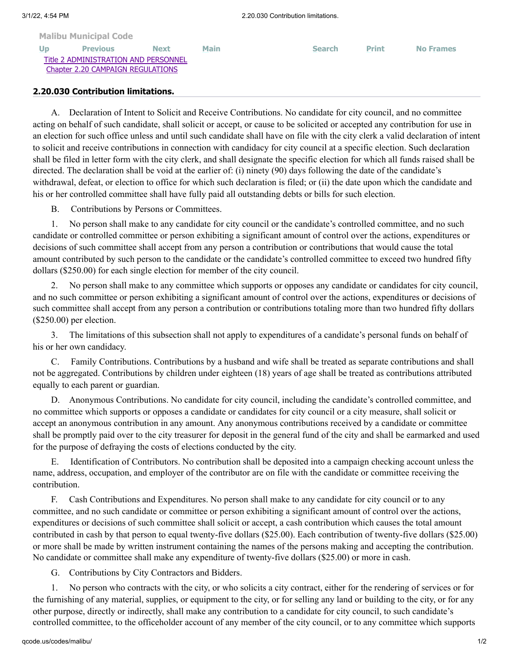## **[Malibu Municipal Code](http://qcode.us/codes/malibu/view.php?&frames=on) [Up](http://qcode.us/codes/malibu/view.php?topic=2-2_20&frames=on) [Previous](http://qcode.us/codes/malibu/view.php?topic=2-2_20-2_20_020&frames=on) [Next](http://qcode.us/codes/malibu/view.php?topic=2-2_20-2_20_040&frames=on) [Main](http://qcode.us/codes/malibu/view.php?frames=on) [Search](http://qcode.us/codes/malibu/search.php?frames=on) [Print](javascript:self.print();) [No Frames](http://qcode.us/codes/malibu/view.php?topic=2-2_20-2_20_030&frames=off)** [Title 2 ADMINISTRATION AND PERSONNEL](http://qcode.us/codes/malibu/view.php?topic=2&frames=on) [Chapter 2.20 CAMPAIGN REGULATIONS](http://qcode.us/codes/malibu/view.php?topic=2-2_20&frames=on)

## **2.20.030 Contribution limitations.**

A. Declaration of Intent to Solicit and Receive Contributions. No candidate for city council, and no committee acting on behalf of such candidate, shall solicit or accept, or cause to be solicited or accepted any contribution for use in an election for such office unless and until such candidate shall have on file with the city clerk a valid declaration of intent to solicit and receive contributions in connection with candidacy for city council at a specific election. Such declaration shall be filed in letter form with the city clerk, and shall designate the specific election for which all funds raised shall be directed. The declaration shall be void at the earlier of: (i) ninety (90) days following the date of the candidate's withdrawal, defeat, or election to office for which such declaration is filed; or (ii) the date upon which the candidate and his or her controlled committee shall have fully paid all outstanding debts or bills for such election.

B. Contributions by Persons or Committees.

1. No person shall make to any candidate for city council or the candidate's controlled committee, and no such candidate or controlled committee or person exhibiting a significant amount of control over the actions, expenditures or decisions of such committee shall accept from any person a contribution or contributions that would cause the total amount contributed by such person to the candidate or the candidate's controlled committee to exceed two hundred fifty dollars (\$250.00) for each single election for member of the city council.

2. No person shall make to any committee which supports or opposes any candidate or candidates for city council, and no such committee or person exhibiting a significant amount of control over the actions, expenditures or decisions of such committee shall accept from any person a contribution or contributions totaling more than two hundred fifty dollars (\$250.00) per election.

3. The limitations of this subsection shall not apply to expenditures of a candidate's personal funds on behalf of his or her own candidacy.

C. Family Contributions. Contributions by a husband and wife shall be treated as separate contributions and shall not be aggregated. Contributions by children under eighteen (18) years of age shall be treated as contributions attributed equally to each parent or guardian.

D. Anonymous Contributions. No candidate for city council, including the candidate's controlled committee, and no committee which supports or opposes a candidate or candidates for city council or a city measure, shall solicit or accept an anonymous contribution in any amount. Any anonymous contributions received by a candidate or committee shall be promptly paid over to the city treasurer for deposit in the general fund of the city and shall be earmarked and used for the purpose of defraying the costs of elections conducted by the city.

E. Identification of Contributors. No contribution shall be deposited into a campaign checking account unless the name, address, occupation, and employer of the contributor are on file with the candidate or committee receiving the contribution.

F. Cash Contributions and Expenditures. No person shall make to any candidate for city council or to any committee, and no such candidate or committee or person exhibiting a significant amount of control over the actions, expenditures or decisions of such committee shall solicit or accept, a cash contribution which causes the total amount contributed in cash by that person to equal twenty-five dollars (\$25.00). Each contribution of twenty-five dollars (\$25.00) or more shall be made by written instrument containing the names of the persons making and accepting the contribution. No candidate or committee shall make any expenditure of twenty-five dollars (\$25.00) or more in cash.

G. Contributions by City Contractors and Bidders.

1. No person who contracts with the city, or who solicits a city contract, either for the rendering of services or for the furnishing of any material, supplies, or equipment to the city, or for selling any land or building to the city, or for any other purpose, directly or indirectly, shall make any contribution to a candidate for city council, to such candidate's controlled committee, to the officeholder account of any member of the city council, or to any committee which supports